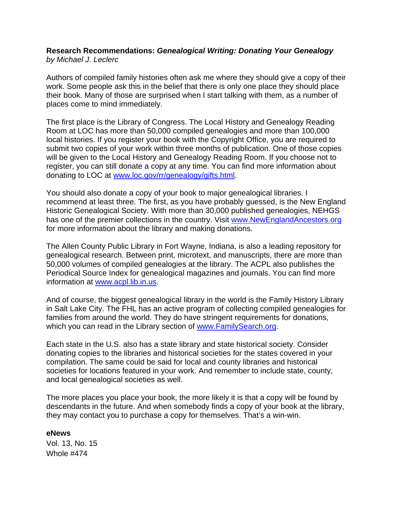## **Research Recommendations:** *Genealogical Writing: Donating Your Genealogy by Michael J. Leclerc*

Authors of compiled family histories often ask me where they should give a copy of their work. Some people ask this in the belief that there is only one place they should place their book. Many of those are surprised when I start talking with them, as a number of places come to mind immediately.

The first place is the Library of Congress. The Local History and Genealogy Reading Room at LOC has more than 50,000 compiled genealogies and more than 100,000 local histories. If you register your book with the Copyright Office, you are required to submit two copies of your work within three months of publication. One of those copies will be given to the Local History and Genealogy Reading Room. If you choose not to register, you can still donate a copy at any time. You can find more information about donating to LOC at www.loc.gov/rr/genealogy/gifts.html.

You should also donate a copy of your book to major genealogical libraries. I recommend at least three. The first, as you have probably guessed, is the New England Historic Genealogical Society. With more than 30,000 published genealogies, NEHGS has one of the premier collections in the country. Visit www.NewEnglandAncestors.org for more information about the library and making donations.

The Allen County Public Library in Fort Wayne, Indiana, is also a leading repository for genealogical research. Between print, microtext, and manuscripts, there are more than 50,000 volumes of compiled genealogies at the library. The ACPL also publishes the Periodical Source Index for genealogical magazines and journals. You can find more information at www.acpl.lib.in.us.

And of course, the biggest genealogical library in the world is the Family History Library in Salt Lake City. The FHL has an active program of collecting compiled genealogies for families from around the world. They do have stringent requirements for donations, which you can read in the Library section of www.FamilySearch.org.

Each state in the U.S. also has a state library and state historical society. Consider donating copies to the libraries and historical societies for the states covered in your compilation. The same could be said for local and county libraries and historical societies for locations featured in your work. And remember to include state, county, and local genealogical societies as well.

The more places you place your book, the more likely it is that a copy will be found by descendants in the future. And when somebody finds a copy of your book at the library, they may contact you to purchase a copy for themselves. That's a win-win.

## **eNews**

Vol. 13, No. 15 Whole #474